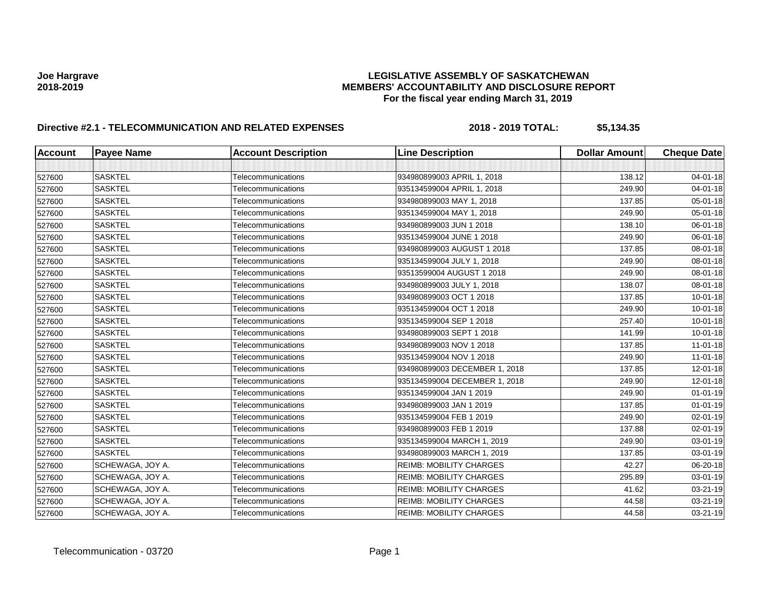| <b>Account</b> | <b>Payee Name</b>       | <b>Account Description</b> | <b>Line Description</b>        | <b>Dollar Amount</b> | <b>Cheque Date</b> |
|----------------|-------------------------|----------------------------|--------------------------------|----------------------|--------------------|
|                |                         |                            |                                |                      |                    |
| 527600         | <b>SASKTEL</b>          | Telecommunications         | 934980899003 APRIL 1, 2018     | 138.12               | 04-01-18           |
| 527600         | <b>SASKTEL</b>          | Telecommunications         | 935134599004 APRIL 1, 2018     | 249.90               | 04-01-18           |
| 527600         | <b>SASKTEL</b>          | Telecommunications         | 934980899003 MAY 1, 2018       | 137.85               | 05-01-18           |
| 527600         | <b>SASKTEL</b>          | Telecommunications         | 935134599004 MAY 1, 2018       | 249.90               | 05-01-18           |
| 527600         | <b>SASKTEL</b>          | Telecommunications         | 934980899003 JUN 1 2018        | 138.10               | 06-01-18           |
| 527600         | <b>SASKTEL</b>          | Telecommunications         | 935134599004 JUNE 1 2018       | 249.90               | 06-01-18           |
| 527600         | <b>SASKTEL</b>          | Telecommunications         | 934980899003 AUGUST 1 2018     | 137.85               | 08-01-18           |
| 527600         | <b>SASKTEL</b>          | Telecommunications         | 935134599004 JULY 1, 2018      | 249.90               | 08-01-18           |
| 527600         | <b>SASKTEL</b>          | Telecommunications         | 93513599004 AUGUST 1 2018      | 249.90               | 08-01-18           |
| 527600         | <b>SASKTEL</b>          | Telecommunications         | 934980899003 JULY 1, 2018      | 138.07               | 08-01-18           |
| 527600         | <b>SASKTEL</b>          | Telecommunications         | 934980899003 OCT 1 2018        | 137.85               | $10 - 01 - 18$     |
| 527600         | <b>SASKTEL</b>          | Telecommunications         | 935134599004 OCT 1 2018        | 249.90               | $10 - 01 - 18$     |
| 527600         | <b>SASKTEL</b>          | Telecommunications         | 935134599004 SEP 1 2018        | 257.40               | $10 - 01 - 18$     |
| 527600         | <b>SASKTEL</b>          | Telecommunications         | 934980899003 SEPT 1 2018       | 141.99               | $10 - 01 - 18$     |
| 527600         | <b>SASKTEL</b>          | Telecommunications         | 934980899003 NOV 1 2018        | 137.85               | $11-01-18$         |
| 527600         | <b>SASKTEL</b>          | Telecommunications         | 935134599004 NOV 1 2018        | 249.90               | $11-01-18$         |
| 527600         | <b>SASKTEL</b>          | Telecommunications         | 934980899003 DECEMBER 1, 2018  | 137.85               | 12-01-18           |
| 527600         | <b>SASKTEL</b>          | Telecommunications         | 935134599004 DECEMBER 1, 2018  | 249.90               | 12-01-18           |
| 527600         | <b>SASKTEL</b>          | Telecommunications         | 935134599004 JAN 1 2019        | 249.90               | $01 - 01 - 19$     |
| 527600         | <b>SASKTEL</b>          | Telecommunications         | 934980899003 JAN 1 2019        | 137.85               | $01 - 01 - 19$     |
| 527600         | <b>SASKTEL</b>          | Telecommunications         | 935134599004 FEB 1 2019        | 249.90               | $02 - 01 - 19$     |
| 527600         | <b>SASKTEL</b>          | Telecommunications         | 934980899003 FEB 1 2019        | 137.88               | 02-01-19           |
| 527600         | <b>SASKTEL</b>          | Telecommunications         | 935134599004 MARCH 1, 2019     | 249.90               | $03 - 01 - 19$     |
| 527600         | <b>SASKTEL</b>          | Telecommunications         | 934980899003 MARCH 1, 2019     | 137.85               | 03-01-19           |
| 527600         | SCHEWAGA, JOY A.        | Telecommunications         | <b>REIMB: MOBILITY CHARGES</b> | 42.27                | 06-20-18           |
| 527600         | SCHEWAGA, JOY A.        | Telecommunications         | <b>REIMB: MOBILITY CHARGES</b> | 295.89               | 03-01-19           |
| 527600         | <b>SCHEWAGA, JOY A.</b> | Telecommunications         | <b>REIMB: MOBILITY CHARGES</b> | 41.62                | 03-21-19           |
| 527600         | SCHEWAGA, JOY A.        | Telecommunications         | <b>REIMB: MOBILITY CHARGES</b> | 44.58                | 03-21-19           |
| 527600         | SCHEWAGA, JOY A.        | Telecommunications         | <b>REIMB: MOBILITY CHARGES</b> | 44.58                | 03-21-19           |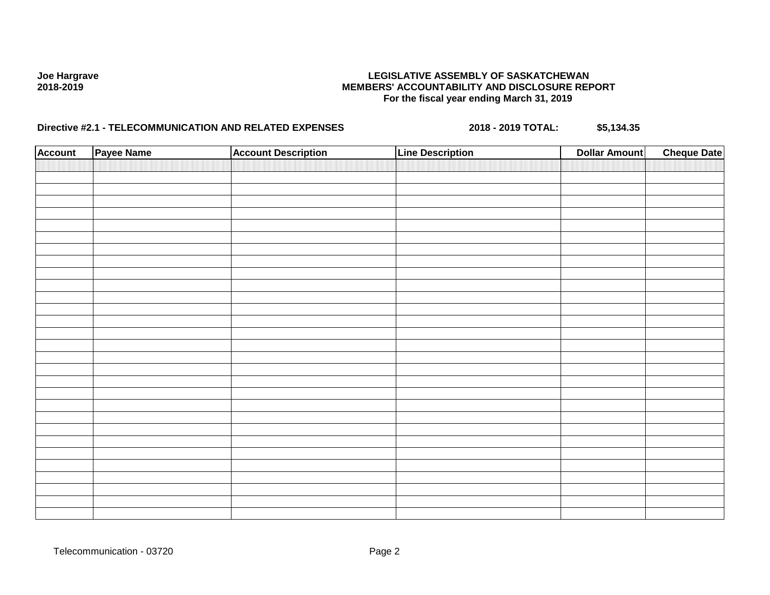| <b>Account</b> | Payee Name | <b>Account Description</b> | <b>Line Description</b> | <b>Dollar Amount</b> | <b>Cheque Date</b> |
|----------------|------------|----------------------------|-------------------------|----------------------|--------------------|
|                |            |                            |                         |                      |                    |
|                |            |                            |                         |                      |                    |
|                |            |                            |                         |                      |                    |
|                |            |                            |                         |                      |                    |
|                |            |                            |                         |                      |                    |
|                |            |                            |                         |                      |                    |
|                |            |                            |                         |                      |                    |
|                |            |                            |                         |                      |                    |
|                |            |                            |                         |                      |                    |
|                |            |                            |                         |                      |                    |
|                |            |                            |                         |                      |                    |
|                |            |                            |                         |                      |                    |
|                |            |                            |                         |                      |                    |
|                |            |                            |                         |                      |                    |
|                |            |                            |                         |                      |                    |
|                |            |                            |                         |                      |                    |
|                |            |                            |                         |                      |                    |
|                |            |                            |                         |                      |                    |
|                |            |                            |                         |                      |                    |
|                |            |                            |                         |                      |                    |
|                |            |                            |                         |                      |                    |
|                |            |                            |                         |                      |                    |
|                |            |                            |                         |                      |                    |
|                |            |                            |                         |                      |                    |
|                |            |                            |                         |                      |                    |
|                |            |                            |                         |                      |                    |
|                |            |                            |                         |                      |                    |
|                |            |                            |                         |                      |                    |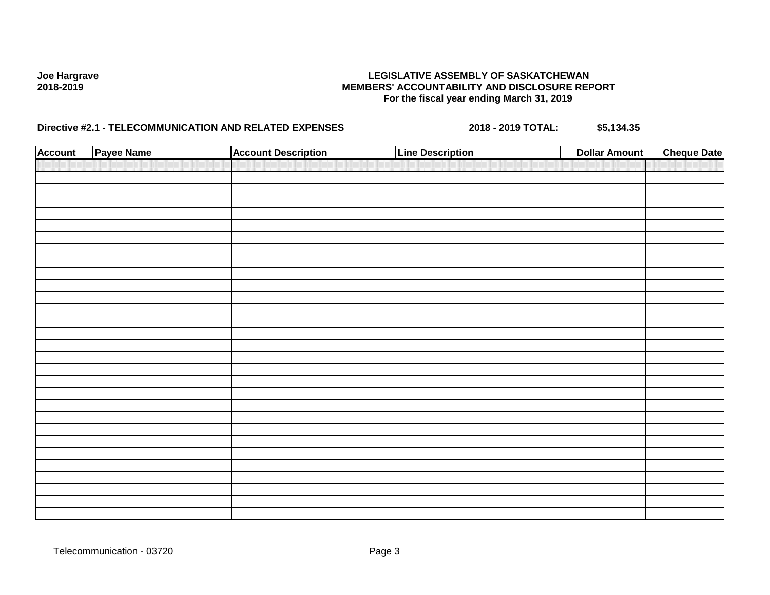| <b>Account</b> | Payee Name | <b>Account Description</b> | <b>Line Description</b> | <b>Dollar Amount</b> | <b>Cheque Date</b> |
|----------------|------------|----------------------------|-------------------------|----------------------|--------------------|
|                |            |                            |                         |                      |                    |
|                |            |                            |                         |                      |                    |
|                |            |                            |                         |                      |                    |
|                |            |                            |                         |                      |                    |
|                |            |                            |                         |                      |                    |
|                |            |                            |                         |                      |                    |
|                |            |                            |                         |                      |                    |
|                |            |                            |                         |                      |                    |
|                |            |                            |                         |                      |                    |
|                |            |                            |                         |                      |                    |
|                |            |                            |                         |                      |                    |
|                |            |                            |                         |                      |                    |
|                |            |                            |                         |                      |                    |
|                |            |                            |                         |                      |                    |
|                |            |                            |                         |                      |                    |
|                |            |                            |                         |                      |                    |
|                |            |                            |                         |                      |                    |
|                |            |                            |                         |                      |                    |
|                |            |                            |                         |                      |                    |
|                |            |                            |                         |                      |                    |
|                |            |                            |                         |                      |                    |
|                |            |                            |                         |                      |                    |
|                |            |                            |                         |                      |                    |
|                |            |                            |                         |                      |                    |
|                |            |                            |                         |                      |                    |
|                |            |                            |                         |                      |                    |
|                |            |                            |                         |                      |                    |
|                |            |                            |                         |                      |                    |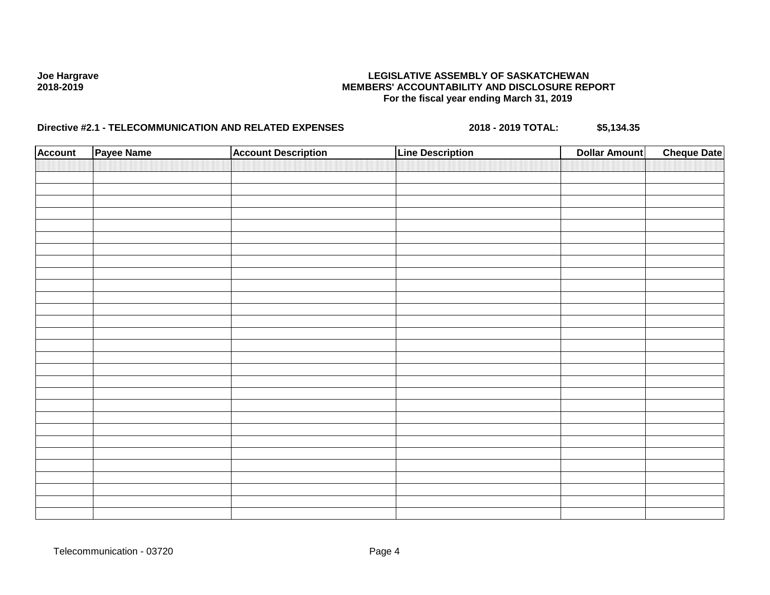| <b>Account</b> | Payee Name | <b>Account Description</b> | <b>Line Description</b> | <b>Dollar Amount</b> | <b>Cheque Date</b> |
|----------------|------------|----------------------------|-------------------------|----------------------|--------------------|
|                |            |                            |                         |                      |                    |
|                |            |                            |                         |                      |                    |
|                |            |                            |                         |                      |                    |
|                |            |                            |                         |                      |                    |
|                |            |                            |                         |                      |                    |
|                |            |                            |                         |                      |                    |
|                |            |                            |                         |                      |                    |
|                |            |                            |                         |                      |                    |
|                |            |                            |                         |                      |                    |
|                |            |                            |                         |                      |                    |
|                |            |                            |                         |                      |                    |
|                |            |                            |                         |                      |                    |
|                |            |                            |                         |                      |                    |
|                |            |                            |                         |                      |                    |
|                |            |                            |                         |                      |                    |
|                |            |                            |                         |                      |                    |
|                |            |                            |                         |                      |                    |
|                |            |                            |                         |                      |                    |
|                |            |                            |                         |                      |                    |
|                |            |                            |                         |                      |                    |
|                |            |                            |                         |                      |                    |
|                |            |                            |                         |                      |                    |
|                |            |                            |                         |                      |                    |
|                |            |                            |                         |                      |                    |
|                |            |                            |                         |                      |                    |
|                |            |                            |                         |                      |                    |
|                |            |                            |                         |                      |                    |
|                |            |                            |                         |                      |                    |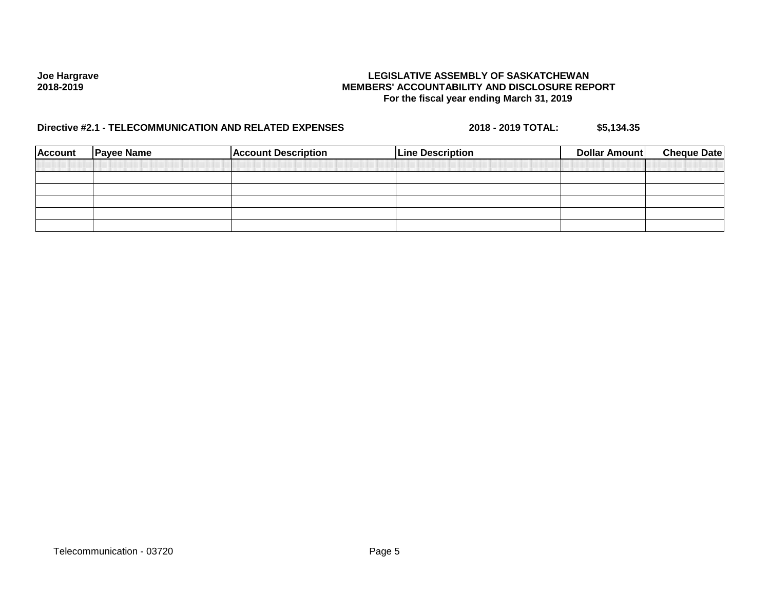| <b>Account</b> | <b>Payee Name</b> | <b>Account Description</b> | <b>Line Description</b> | Dollar Amount | <b>Cheque Date</b> |
|----------------|-------------------|----------------------------|-------------------------|---------------|--------------------|
|                |                   |                            |                         |               |                    |
|                |                   |                            |                         |               |                    |
|                |                   |                            |                         |               |                    |
|                |                   |                            |                         |               |                    |
|                |                   |                            |                         |               |                    |
|                |                   |                            |                         |               |                    |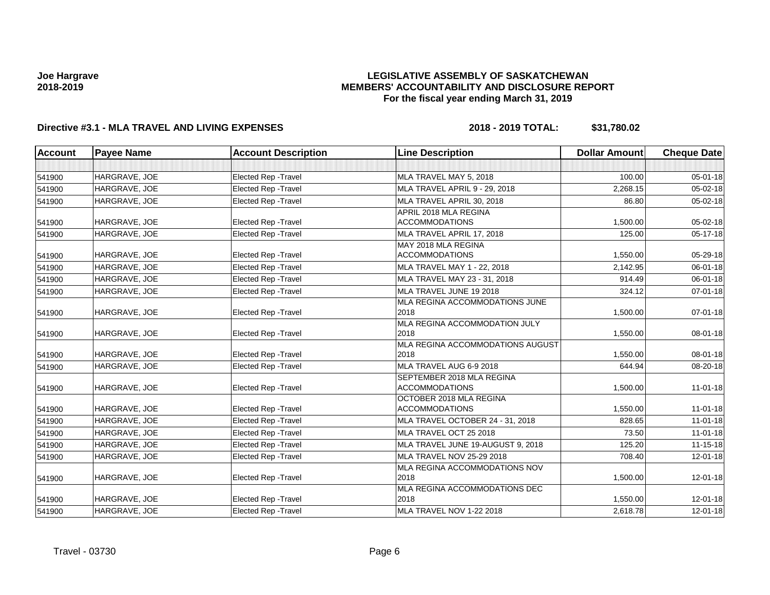### **LEGISLATIVE ASSEMBLY OF SASKATCHEWAN MEMBERS' ACCOUNTABILITY AND DISCLOSURE REPORT For the fiscal year ending March 31, 2019**

| <b>Account</b> | <b>Payee Name</b> | <b>Account Description</b>  | <b>Line Description</b>                            | <b>Dollar Amount</b> | <b>Cheque Date</b> |
|----------------|-------------------|-----------------------------|----------------------------------------------------|----------------------|--------------------|
|                |                   |                             |                                                    |                      |                    |
| 541900         | HARGRAVE, JOE     | <b>Elected Rep - Travel</b> | MLA TRAVEL MAY 5, 2018                             | 100.00               | 05-01-18           |
| 541900         | HARGRAVE, JOE     | <b>Elected Rep - Travel</b> | MLA TRAVEL APRIL 9 - 29, 2018                      | 2,268.15             | $05 - 02 - 18$     |
| 541900         | HARGRAVE, JOE     | Elected Rep - Travel        | MLA TRAVEL APRIL 30, 2018                          | 86.80                | 05-02-18           |
| 541900         | HARGRAVE, JOE     | <b>Elected Rep - Travel</b> | APRIL 2018 MLA REGINA<br><b>ACCOMMODATIONS</b>     | 1,500.00             | $05 - 02 - 18$     |
| 541900         | HARGRAVE, JOE     | Elected Rep - Travel        | MLA TRAVEL APRIL 17, 2018                          | 125.00               | $05-17-18$         |
| 541900         | HARGRAVE, JOE     | <b>Elected Rep - Travel</b> | MAY 2018 MLA REGINA<br><b>ACCOMMODATIONS</b>       | 1,550.00             | 05-29-18           |
| 541900         | HARGRAVE, JOE     | <b>Elected Rep - Travel</b> | MLA TRAVEL MAY 1 - 22, 2018                        | 2,142.95             | 06-01-18           |
| 541900         | HARGRAVE, JOE     | Elected Rep - Travel        | MLA TRAVEL MAY 23 - 31, 2018                       | 914.49               | $06 - 01 - 18$     |
| 541900         | HARGRAVE, JOE     | <b>Elected Rep - Travel</b> | MLA TRAVEL JUNE 19 2018                            | 324.12               | 07-01-18           |
| 541900         | HARGRAVE, JOE     | <b>Elected Rep - Travel</b> | MLA REGINA ACCOMMODATIONS JUNE<br>2018             | 1,500.00             | $07 - 01 - 18$     |
| 541900         | HARGRAVE, JOE     | <b>Elected Rep - Travel</b> | MLA REGINA ACCOMMODATION JULY<br>2018              | 1,550.00             | 08-01-18           |
| 541900         | HARGRAVE, JOE     | <b>Elected Rep - Travel</b> | MLA REGINA ACCOMMODATIONS AUGUST<br>2018           | 1,550.00             | 08-01-18           |
| 541900         | HARGRAVE, JOE     | Elected Rep - Travel        | MLA TRAVEL AUG 6-9 2018                            | 644.94               | 08-20-18           |
| 541900         | HARGRAVE, JOE     | <b>Elected Rep - Travel</b> | SEPTEMBER 2018 MLA REGINA<br><b>ACCOMMODATIONS</b> | 1,500.00             | $11-01-18$         |
| 541900         | HARGRAVE, JOE     | <b>Elected Rep - Travel</b> | OCTOBER 2018 MLA REGINA<br><b>ACCOMMODATIONS</b>   | 1,550.00             | $11 - 01 - 18$     |
| 541900         | HARGRAVE, JOE     | <b>Elected Rep - Travel</b> | MLA TRAVEL OCTOBER 24 - 31, 2018                   | 828.65               | $11-01-18$         |
| 541900         | HARGRAVE, JOE     | Elected Rep - Travel        | MLA TRAVEL OCT 25 2018                             | 73.50                | $11 - 01 - 18$     |
| 541900         | HARGRAVE, JOE     | Elected Rep - Travel        | MLA TRAVEL JUNE 19-AUGUST 9, 2018                  | 125.20               | $11 - 15 - 18$     |
| 541900         | HARGRAVE, JOE     | Elected Rep - Travel        | <b>MLA TRAVEL NOV 25-29 2018</b>                   | 708.40               | 12-01-18           |
| 541900         | HARGRAVE, JOE     | <b>Elected Rep - Travel</b> | MLA REGINA ACCOMMODATIONS NOV<br>2018              | 1,500.00             | $12 - 01 - 18$     |
| 541900         | HARGRAVE, JOE     | <b>Elected Rep - Travel</b> | MLA REGINA ACCOMMODATIONS DEC<br>2018              | 1,550.00             | 12-01-18           |
| 541900         | HARGRAVE, JOE     | Elected Rep - Travel        | MLA TRAVEL NOV 1-22 2018                           | 2,618.78             | 12-01-18           |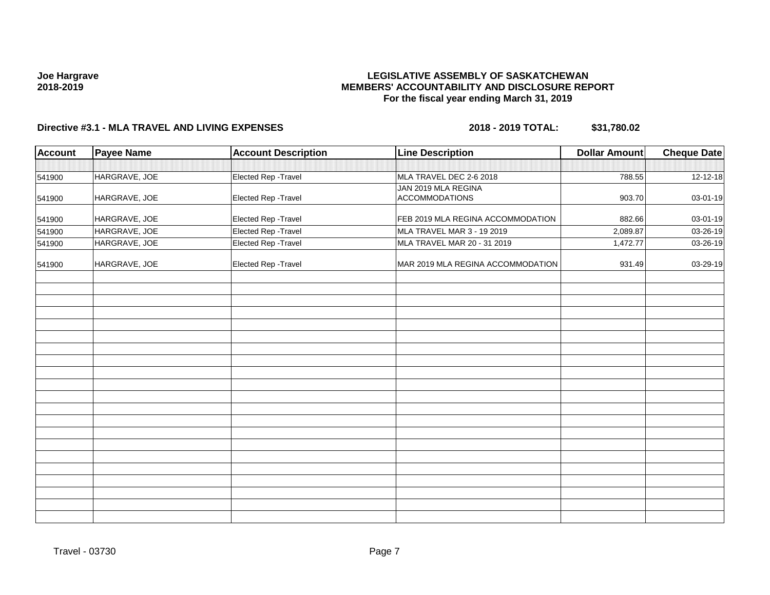### **LEGISLATIVE ASSEMBLY OF SASKATCHEWAN MEMBERS' ACCOUNTABILITY AND DISCLOSURE REPORT For the fiscal year ending March 31, 2019**

| Account | <b>Payee Name</b> | <b>Account Description</b> | <b>Line Description</b>                      | <b>Dollar Amount</b> | <b>Cheque Date</b> |
|---------|-------------------|----------------------------|----------------------------------------------|----------------------|--------------------|
|         |                   |                            |                                              |                      |                    |
| 541900  | HARGRAVE, JOE     | Elected Rep - Travel       | MLA TRAVEL DEC 2-6 2018                      | 788.55               | 12-12-18           |
| 541900  | HARGRAVE, JOE     | Elected Rep - Travel       | JAN 2019 MLA REGINA<br><b>ACCOMMODATIONS</b> | 903.70               | 03-01-19           |
| 541900  | HARGRAVE, JOE     | Elected Rep - Travel       | FEB 2019 MLA REGINA ACCOMMODATION            | 882.66               | 03-01-19           |
| 541900  | HARGRAVE, JOE     | Elected Rep - Travel       | MLA TRAVEL MAR 3 - 19 2019                   | 2,089.87             | 03-26-19           |
| 541900  | HARGRAVE, JOE     | Elected Rep - Travel       | MLA TRAVEL MAR 20 - 31 2019                  | 1,472.77             | 03-26-19           |
| 541900  | HARGRAVE, JOE     | Elected Rep - Travel       | MAR 2019 MLA REGINA ACCOMMODATION            | 931.49               | 03-29-19           |
|         |                   |                            |                                              |                      |                    |
|         |                   |                            |                                              |                      |                    |
|         |                   |                            |                                              |                      |                    |
|         |                   |                            |                                              |                      |                    |
|         |                   |                            |                                              |                      |                    |
|         |                   |                            |                                              |                      |                    |
|         |                   |                            |                                              |                      |                    |
|         |                   |                            |                                              |                      |                    |
|         |                   |                            |                                              |                      |                    |
|         |                   |                            |                                              |                      |                    |
|         |                   |                            |                                              |                      |                    |
|         |                   |                            |                                              |                      |                    |
|         |                   |                            |                                              |                      |                    |
|         |                   |                            |                                              |                      |                    |
|         |                   |                            |                                              |                      |                    |
|         |                   |                            |                                              |                      |                    |
|         |                   |                            |                                              |                      |                    |
|         |                   |                            |                                              |                      |                    |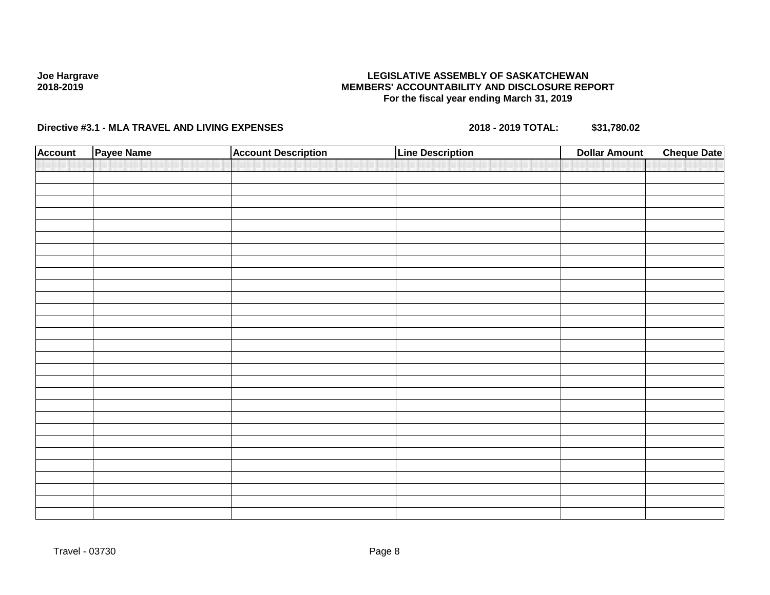### **LEGISLATIVE ASSEMBLY OF SASKATCHEWAN MEMBERS' ACCOUNTABILITY AND DISCLOSURE REPORT For the fiscal year ending March 31, 2019**

| <b>Account</b> | Payee Name | <b>Account Description</b> | <b>Line Description</b> | <b>Dollar Amount</b> | <b>Cheque Date</b> |
|----------------|------------|----------------------------|-------------------------|----------------------|--------------------|
|                |            |                            |                         |                      |                    |
|                |            |                            |                         |                      |                    |
|                |            |                            |                         |                      |                    |
|                |            |                            |                         |                      |                    |
|                |            |                            |                         |                      |                    |
|                |            |                            |                         |                      |                    |
|                |            |                            |                         |                      |                    |
|                |            |                            |                         |                      |                    |
|                |            |                            |                         |                      |                    |
|                |            |                            |                         |                      |                    |
|                |            |                            |                         |                      |                    |
|                |            |                            |                         |                      |                    |
|                |            |                            |                         |                      |                    |
|                |            |                            |                         |                      |                    |
|                |            |                            |                         |                      |                    |
|                |            |                            |                         |                      |                    |
|                |            |                            |                         |                      |                    |
|                |            |                            |                         |                      |                    |
|                |            |                            |                         |                      |                    |
|                |            |                            |                         |                      |                    |
|                |            |                            |                         |                      |                    |
|                |            |                            |                         |                      |                    |
|                |            |                            |                         |                      |                    |
|                |            |                            |                         |                      |                    |
|                |            |                            |                         |                      |                    |
|                |            |                            |                         |                      |                    |
|                |            |                            |                         |                      |                    |
|                |            |                            |                         |                      |                    |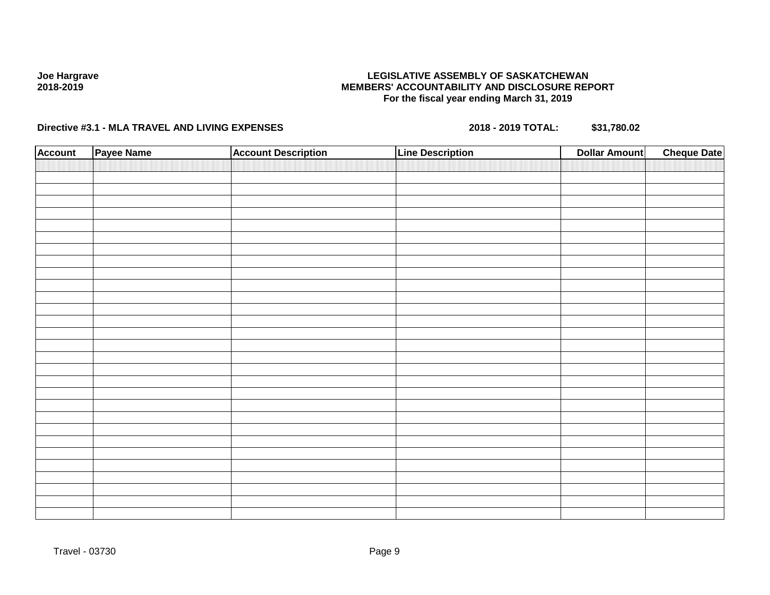### **LEGISLATIVE ASSEMBLY OF SASKATCHEWAN MEMBERS' ACCOUNTABILITY AND DISCLOSURE REPORT For the fiscal year ending March 31, 2019**

| <b>Account</b> | Payee Name | <b>Account Description</b> | <b>Line Description</b> | <b>Dollar Amount</b> | <b>Cheque Date</b> |
|----------------|------------|----------------------------|-------------------------|----------------------|--------------------|
|                |            |                            |                         |                      |                    |
|                |            |                            |                         |                      |                    |
|                |            |                            |                         |                      |                    |
|                |            |                            |                         |                      |                    |
|                |            |                            |                         |                      |                    |
|                |            |                            |                         |                      |                    |
|                |            |                            |                         |                      |                    |
|                |            |                            |                         |                      |                    |
|                |            |                            |                         |                      |                    |
|                |            |                            |                         |                      |                    |
|                |            |                            |                         |                      |                    |
|                |            |                            |                         |                      |                    |
|                |            |                            |                         |                      |                    |
|                |            |                            |                         |                      |                    |
|                |            |                            |                         |                      |                    |
|                |            |                            |                         |                      |                    |
|                |            |                            |                         |                      |                    |
|                |            |                            |                         |                      |                    |
|                |            |                            |                         |                      |                    |
|                |            |                            |                         |                      |                    |
|                |            |                            |                         |                      |                    |
|                |            |                            |                         |                      |                    |
|                |            |                            |                         |                      |                    |
|                |            |                            |                         |                      |                    |
|                |            |                            |                         |                      |                    |
|                |            |                            |                         |                      |                    |
|                |            |                            |                         |                      |                    |
|                |            |                            |                         |                      |                    |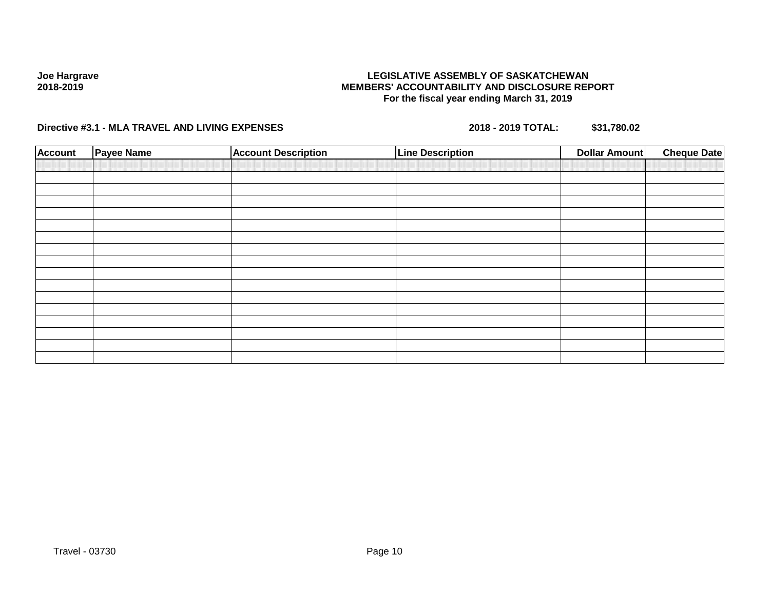### **LEGISLATIVE ASSEMBLY OF SASKATCHEWAN MEMBERS' ACCOUNTABILITY AND DISCLOSURE REPORT For the fiscal year ending March 31, 2019**

| <b>Account</b> | <b>Payee Name</b> | <b>Account Description</b> | <b>Line Description</b> | <b>Dollar Amount</b> | <b>Cheque Date</b> |
|----------------|-------------------|----------------------------|-------------------------|----------------------|--------------------|
|                |                   |                            |                         |                      |                    |
|                |                   |                            |                         |                      |                    |
|                |                   |                            |                         |                      |                    |
|                |                   |                            |                         |                      |                    |
|                |                   |                            |                         |                      |                    |
|                |                   |                            |                         |                      |                    |
|                |                   |                            |                         |                      |                    |
|                |                   |                            |                         |                      |                    |
|                |                   |                            |                         |                      |                    |
|                |                   |                            |                         |                      |                    |
|                |                   |                            |                         |                      |                    |
|                |                   |                            |                         |                      |                    |
|                |                   |                            |                         |                      |                    |
|                |                   |                            |                         |                      |                    |
|                |                   |                            |                         |                      |                    |
|                |                   |                            |                         |                      |                    |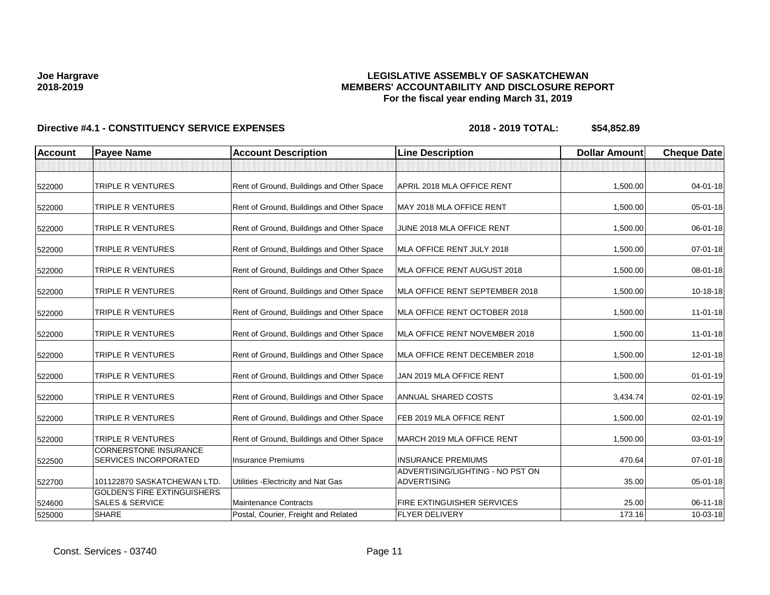### **LEGISLATIVE ASSEMBLY OF SASKATCHEWAN MEMBERS' ACCOUNTABILITY AND DISCLOSURE REPORT For the fiscal year ending March 31, 2019**

| <b>Account</b> | <b>Payee Name</b>                                                | <b>Account Description</b>                | <b>Line Description</b>                                | <b>Dollar Amount</b> | <b>Cheque Date</b> |
|----------------|------------------------------------------------------------------|-------------------------------------------|--------------------------------------------------------|----------------------|--------------------|
|                |                                                                  |                                           |                                                        |                      |                    |
| 522000         | TRIPLE R VENTURES                                                | Rent of Ground, Buildings and Other Space | APRIL 2018 MLA OFFICE RENT                             | 1,500.00             | 04-01-18           |
| 522000         | TRIPLE R VENTURES                                                | Rent of Ground, Buildings and Other Space | MAY 2018 MLA OFFICE RENT                               | 1,500.00             | 05-01-18           |
| 522000         | TRIPLE R VENTURES                                                | Rent of Ground, Buildings and Other Space | JUNE 2018 MLA OFFICE RENT                              | 1,500.00             | 06-01-18           |
| 522000         | TRIPLE R VENTURES                                                | Rent of Ground, Buildings and Other Space | MLA OFFICE RENT JULY 2018                              | 1,500.00             | 07-01-18           |
| 522000         | TRIPLE R VENTURES                                                | Rent of Ground, Buildings and Other Space | MLA OFFICE RENT AUGUST 2018                            | 1,500.00             | 08-01-18           |
| 522000         | TRIPLE R VENTURES                                                | Rent of Ground, Buildings and Other Space | MLA OFFICE RENT SEPTEMBER 2018                         | 1,500.00             | 10-18-18           |
| 522000         | TRIPLE R VENTURES                                                | Rent of Ground, Buildings and Other Space | MLA OFFICE RENT OCTOBER 2018                           | 1,500.00             | $11-01-18$         |
| 522000         | TRIPLE R VENTURES                                                | Rent of Ground, Buildings and Other Space | MLA OFFICE RENT NOVEMBER 2018                          | 1,500.00             | $11-01-18$         |
| 522000         | TRIPLE R VENTURES                                                | Rent of Ground, Buildings and Other Space | MLA OFFICE RENT DECEMBER 2018                          | 1,500.00             | 12-01-18           |
| 522000         | TRIPLE R VENTURES                                                | Rent of Ground, Buildings and Other Space | JAN 2019 MLA OFFICE RENT                               | 1,500.00             | $01 - 01 - 19$     |
| 522000         | TRIPLE R VENTURES                                                | Rent of Ground, Buildings and Other Space | <b>ANNUAL SHARED COSTS</b>                             | 3,434.74             | 02-01-19           |
| 522000         | TRIPLE R VENTURES                                                | Rent of Ground, Buildings and Other Space | FEB 2019 MLA OFFICE RENT                               | 1,500.00             | 02-01-19           |
| 522000         | TRIPLE R VENTURES                                                | Rent of Ground, Buildings and Other Space | MARCH 2019 MLA OFFICE RENT                             | 1,500.00             | 03-01-19           |
| 522500         | <b>CORNERSTONE INSURANCE</b><br><b>SERVICES INCORPORATED</b>     | <b>Insurance Premiums</b>                 | <b>INSURANCE PREMIUMS</b>                              | 470.64               | $07 - 01 - 18$     |
| 522700         | 101122870 SASKATCHEWAN LTD.                                      | Utilities - Electricity and Nat Gas       | ADVERTISING/LIGHTING - NO PST ON<br><b>ADVERTISING</b> | 35.00                | 05-01-18           |
| 524600         | <b>GOLDEN'S FIRE EXTINGUISHERS</b><br><b>SALES &amp; SERVICE</b> | <b>Maintenance Contracts</b>              | <b>FIRE EXTINGUISHER SERVICES</b>                      | 25.00                | 06-11-18           |
| 525000         | <b>SHARE</b>                                                     | Postal, Courier, Freight and Related      | <b>FLYER DELIVERY</b>                                  | 173.16               | 10-03-18           |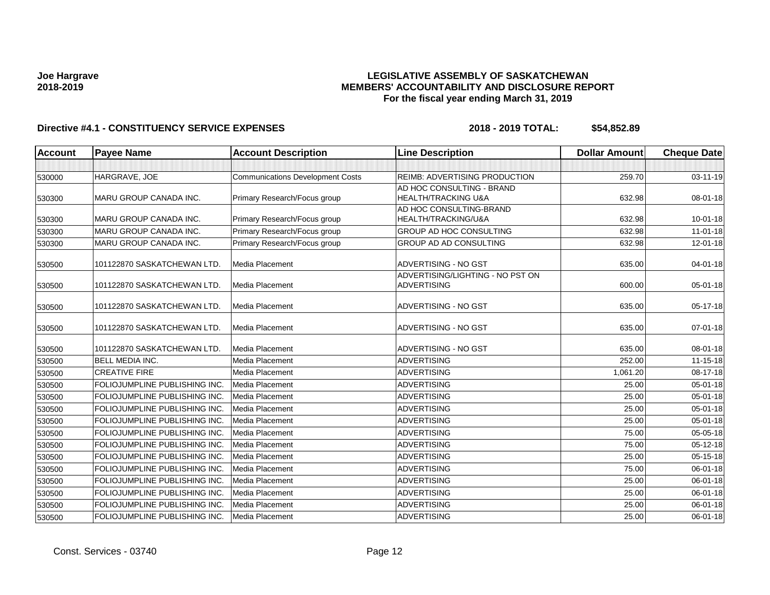### **LEGISLATIVE ASSEMBLY OF SASKATCHEWAN MEMBERS' ACCOUNTABILITY AND DISCLOSURE REPORT For the fiscal year ending March 31, 2019**

| <b>Account</b> | <b>Payee Name</b>                    | <b>Account Description</b>              | <b>Line Description</b>          | <b>Dollar Amount</b> | <b>Cheque Date</b> |
|----------------|--------------------------------------|-----------------------------------------|----------------------------------|----------------------|--------------------|
|                |                                      |                                         |                                  |                      |                    |
| 530000         | HARGRAVE, JOE                        | <b>Communications Development Costs</b> | REIMB: ADVERTISING PRODUCTION    | 259.70               | 03-11-19           |
|                |                                      |                                         | AD HOC CONSULTING - BRAND        |                      |                    |
| 530300         | MARU GROUP CANADA INC.               | Primary Research/Focus group            | HEALTH/TRACKING U&A              | 632.98               | 08-01-18           |
|                |                                      |                                         | AD HOC CONSULTING-BRAND          |                      |                    |
| 530300         | <b>MARU GROUP CANADA INC.</b>        | Primary Research/Focus group            | HEALTH/TRACKING/U&A              | 632.98               | $10 - 01 - 18$     |
| 530300         | MARU GROUP CANADA INC.               | Primary Research/Focus group            | GROUP AD HOC CONSULTING          | 632.98               | $11-01-18$         |
| 530300         | MARU GROUP CANADA INC.               | Primary Research/Focus group            | GROUP AD AD CONSULTING           | 632.98               | 12-01-18           |
| 530500         | 101122870 SASKATCHEWAN LTD.          | Media Placement                         | ADVERTISING - NO GST             | 635.00               | 04-01-18           |
|                |                                      |                                         | ADVERTISING/LIGHTING - NO PST ON |                      |                    |
| 530500         | 101122870 SASKATCHEWAN LTD.          | Media Placement                         | <b>ADVERTISING</b>               | 600.00               | 05-01-18           |
| 530500         | 101122870 SASKATCHEWAN LTD.          | <b>Media Placement</b>                  | ADVERTISING - NO GST             | 635.00               | $05-17-18$         |
|                |                                      |                                         |                                  |                      |                    |
| 530500         | 101122870 SASKATCHEWAN LTD.          | Media Placement                         | ADVERTISING - NO GST             | 635.00               | 07-01-18           |
| 530500         | 101122870 SASKATCHEWAN LTD.          | Media Placement                         | ADVERTISING - NO GST             | 635.00               | 08-01-18           |
| 530500         | <b>BELL MEDIA INC.</b>               | <b>Media Placement</b>                  | <b>ADVERTISING</b>               | 252.00               | 11-15-18           |
| 530500         | <b>CREATIVE FIRE</b>                 | <b>Media Placement</b>                  | <b>ADVERTISING</b>               | 1,061.20             | 08-17-18           |
| 530500         | FOLIOJUMPLINE PUBLISHING INC.        | Media Placement                         | <b>ADVERTISING</b>               | 25.00                | 05-01-18           |
| 530500         | FOLIOJUMPLINE PUBLISHING INC.        | Media Placement                         | ADVERTISING                      | 25.00                | 05-01-18           |
| 530500         | FOLIOJUMPLINE PUBLISHING INC.        | Media Placement                         | <b>ADVERTISING</b>               | 25.00                | 05-01-18           |
| 530500         | FOLIOJUMPLINE PUBLISHING INC.        | <b>Media Placement</b>                  | <b>ADVERTISING</b>               | 25.00                | 05-01-18           |
| 530500         | FOLIOJUMPLINE PUBLISHING INC.        | Media Placement                         | ADVERTISING                      | 75.00                | 05-05-18           |
| 530500         | FOLIOJUMPLINE PUBLISHING INC.        | <b>Media Placement</b>                  | <b>ADVERTISING</b>               | 75.00                | 05-12-18           |
| 530500         | FOLIOJUMPLINE PUBLISHING INC.        | <b>Media Placement</b>                  | <b>ADVERTISING</b>               | 25.00                | 05-15-18           |
| 530500         | <b>FOLIOJUMPLINE PUBLISHING INC.</b> | <b>Media Placement</b>                  | ADVERTISING                      | 75.00                | 06-01-18           |
| 530500         | FOLIOJUMPLINE PUBLISHING INC.        | <b>Media Placement</b>                  | <b>ADVERTISING</b>               | 25.00                | 06-01-18           |
| 530500         | FOLIOJUMPLINE PUBLISHING INC.        | <b>Media Placement</b>                  | <b>ADVERTISING</b>               | 25.00                | 06-01-18           |
| 530500         | FOLIOJUMPLINE PUBLISHING INC.        | Media Placement                         | ADVERTISING                      | 25.00                | 06-01-18           |
| 530500         | FOLIOJUMPLINE PUBLISHING INC.        | Media Placement                         | <b>ADVERTISING</b>               | 25.00                | 06-01-18           |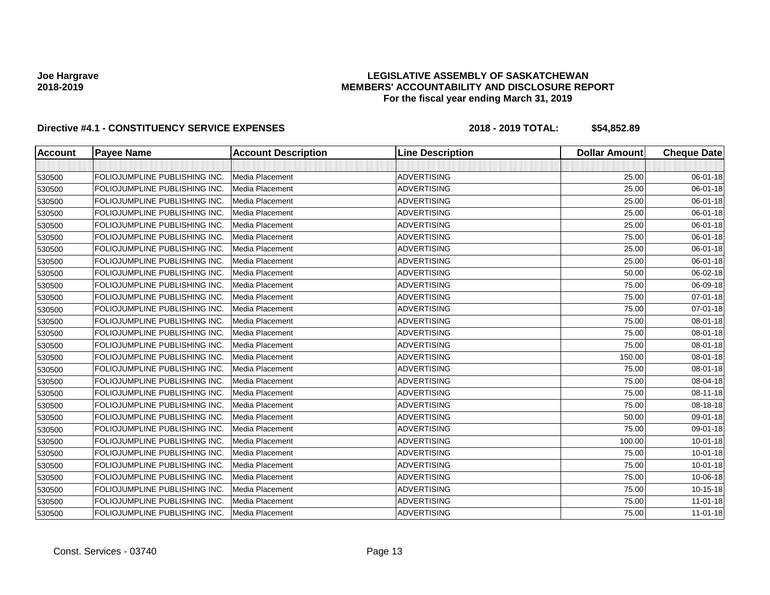### **LEGISLATIVE ASSEMBLY OF SASKATCHEWAN MEMBERS' ACCOUNTABILITY AND DISCLOSURE REPORT For the fiscal year ending March 31, 2019**

| <b>Account</b> | <b>Payee Name</b>             | <b>Account Description</b> | <b>Line Description</b> | <b>Dollar Amount</b> | <b>Cheque Date</b> |
|----------------|-------------------------------|----------------------------|-------------------------|----------------------|--------------------|
|                |                               |                            |                         |                      |                    |
| 530500         | FOLIOJUMPLINE PUBLISHING INC. | Media Placement            | <b>ADVERTISING</b>      | 25.00                | 06-01-18           |
| 530500         | FOLIOJUMPLINE PUBLISHING INC. | Media Placement            | <b>ADVERTISING</b>      | 25.00                | 06-01-18           |
| 530500         | FOLIOJUMPLINE PUBLISHING INC. | Media Placement            | <b>ADVERTISING</b>      | 25.00                | 06-01-18           |
| 530500         | FOLIOJUMPLINE PUBLISHING INC. | Media Placement            | <b>ADVERTISING</b>      | 25.00                | 06-01-18           |
| 530500         | FOLIOJUMPLINE PUBLISHING INC. | Media Placement            | <b>ADVERTISING</b>      | 25.00                | 06-01-18           |
| 530500         | FOLIOJUMPLINE PUBLISHING INC. | Media Placement            | <b>ADVERTISING</b>      | 75.00                | 06-01-18           |
| 530500         | FOLIOJUMPLINE PUBLISHING INC. | Media Placement            | <b>ADVERTISING</b>      | 25.00                | 06-01-18           |
| 530500         | FOLIOJUMPLINE PUBLISHING INC. | <b>Media Placement</b>     | <b>ADVERTISING</b>      | 25.00                | 06-01-18           |
| 530500         | FOLIOJUMPLINE PUBLISHING INC. | Media Placement            | <b>ADVERTISING</b>      | 50.00                | 06-02-18           |
| 530500         | FOLIOJUMPLINE PUBLISHING INC. | Media Placement            | <b>ADVERTISING</b>      | 75.00                | 06-09-18           |
| 530500         | FOLIOJUMPLINE PUBLISHING INC. | Media Placement            | <b>ADVERTISING</b>      | 75.00                | 07-01-18           |
| 530500         | FOLIOJUMPLINE PUBLISHING INC. | Media Placement            | <b>ADVERTISING</b>      | 75.00                | $07 - 01 - 18$     |
| 530500         | FOLIOJUMPLINE PUBLISHING INC. | Media Placement            | <b>ADVERTISING</b>      | 75.00                | 08-01-18           |
| 530500         | FOLIOJUMPLINE PUBLISHING INC. | Media Placement            | <b>ADVERTISING</b>      | 75.00                | 08-01-18           |
| 530500         | FOLIOJUMPLINE PUBLISHING INC. | Media Placement            | <b>ADVERTISING</b>      | 75.00                | 08-01-18           |
| 530500         | FOLIOJUMPLINE PUBLISHING INC. | Media Placement            | <b>ADVERTISING</b>      | 150.00               | 08-01-18           |
| 530500         | FOLIOJUMPLINE PUBLISHING INC. | Media Placement            | <b>ADVERTISING</b>      | 75.00                | 08-01-18           |
| 530500         | FOLIOJUMPLINE PUBLISHING INC. | Media Placement            | <b>ADVERTISING</b>      | 75.00                | 08-04-18           |
| 530500         | FOLIOJUMPLINE PUBLISHING INC. | Media Placement            | <b>ADVERTISING</b>      | 75.00                | 08-11-18           |
| 530500         | FOLIOJUMPLINE PUBLISHING INC. | Media Placement            | <b>ADVERTISING</b>      | 75.00                | 08-18-18           |
| 530500         | FOLIOJUMPLINE PUBLISHING INC. | Media Placement            | <b>ADVERTISING</b>      | 50.00                | 09-01-18           |
| 530500         | FOLIOJUMPLINE PUBLISHING INC. | Media Placement            | <b>ADVERTISING</b>      | 75.00                | 09-01-18           |
| 530500         | FOLIOJUMPLINE PUBLISHING INC. | Media Placement            | <b>ADVERTISING</b>      | 100.00               | $10 - 01 - 18$     |
| 530500         | FOLIOJUMPLINE PUBLISHING INC. | Media Placement            | <b>ADVERTISING</b>      | 75.00                | $10 - 01 - 18$     |
| 530500         | FOLIOJUMPLINE PUBLISHING INC. | Media Placement            | <b>ADVERTISING</b>      | 75.00                | $10 - 01 - 18$     |
| 530500         | FOLIOJUMPLINE PUBLISHING INC. | Media Placement            | <b>ADVERTISING</b>      | 75.00                | 10-06-18           |
| 530500         | FOLIOJUMPLINE PUBLISHING INC. | Media Placement            | <b>ADVERTISING</b>      | 75.00                | 10-15-18           |
| 530500         | FOLIOJUMPLINE PUBLISHING INC. | Media Placement            | <b>ADVERTISING</b>      | 75.00                | $11-01-18$         |
| 530500         | FOLIOJUMPLINE PUBLISHING INC. | Media Placement            | <b>ADVERTISING</b>      | 75.00                | $11-01-18$         |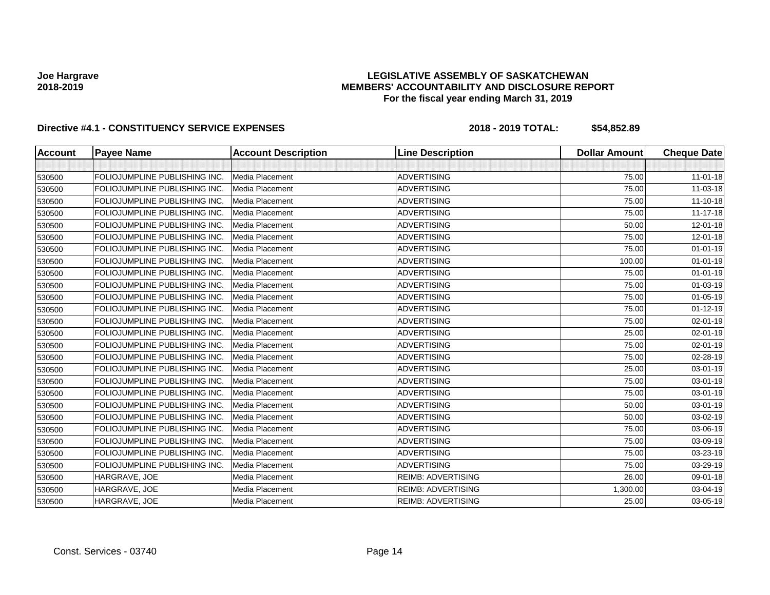### **LEGISLATIVE ASSEMBLY OF SASKATCHEWAN MEMBERS' ACCOUNTABILITY AND DISCLOSURE REPORT For the fiscal year ending March 31, 2019**

| <b>Account</b> | <b>Payee Name</b>             | <b>Account Description</b> | <b>Line Description</b>   | <b>Dollar Amount</b> | <b>Cheque Date</b> |
|----------------|-------------------------------|----------------------------|---------------------------|----------------------|--------------------|
|                |                               |                            |                           |                      |                    |
| 530500         | FOLIOJUMPLINE PUBLISHING INC. | Media Placement            | <b>ADVERTISING</b>        | 75.00                | $11 - 01 - 18$     |
| 530500         | FOLIOJUMPLINE PUBLISHING INC. | Media Placement            | <b>ADVERTISING</b>        | 75.00                | 11-03-18           |
| 530500         | FOLIOJUMPLINE PUBLISHING INC. | Media Placement            | <b>ADVERTISING</b>        | 75.00                | 11-10-18           |
| 530500         | FOLIOJUMPLINE PUBLISHING INC. | Media Placement            | <b>ADVERTISING</b>        | 75.00                | $11 - 17 - 18$     |
| 530500         | FOLIOJUMPLINE PUBLISHING INC. | Media Placement            | <b>ADVERTISING</b>        | 50.00                | 12-01-18           |
| 530500         | FOLIOJUMPLINE PUBLISHING INC. | Media Placement            | <b>ADVERTISING</b>        | 75.00                | 12-01-18           |
| 530500         | FOLIOJUMPLINE PUBLISHING INC. | Media Placement            | <b>ADVERTISING</b>        | 75.00                | $01 - 01 - 19$     |
| 530500         | FOLIOJUMPLINE PUBLISHING INC. | Media Placement            | <b>ADVERTISING</b>        | 100.00               | $01 - 01 - 19$     |
| 530500         | FOLIOJUMPLINE PUBLISHING INC. | Media Placement            | <b>ADVERTISING</b>        | 75.00                | $01 - 01 - 19$     |
| 530500         | FOLIOJUMPLINE PUBLISHING INC. | Media Placement            | <b>ADVERTISING</b>        | 75.00                | $01 - 03 - 19$     |
| 530500         | FOLIOJUMPLINE PUBLISHING INC. | Media Placement            | <b>ADVERTISING</b>        | 75.00                | $01 - 05 - 19$     |
| 530500         | FOLIOJUMPLINE PUBLISHING INC. | Media Placement            | <b>ADVERTISING</b>        | 75.00                | $01 - 12 - 19$     |
| 530500         | FOLIOJUMPLINE PUBLISHING INC. | Media Placement            | <b>ADVERTISING</b>        | 75.00                | $02 - 01 - 19$     |
| 530500         | FOLIOJUMPLINE PUBLISHING INC. | Media Placement            | <b>ADVERTISING</b>        | 25.00                | 02-01-19           |
| 530500         | FOLIOJUMPLINE PUBLISHING INC. | Media Placement            | <b>ADVERTISING</b>        | 75.00                | $02 - 01 - 19$     |
| 530500         | FOLIOJUMPLINE PUBLISHING INC. | Media Placement            | <b>ADVERTISING</b>        | 75.00                | 02-28-19           |
| 530500         | FOLIOJUMPLINE PUBLISHING INC. | Media Placement            | <b>ADVERTISING</b>        | 25.00                | 03-01-19           |
| 530500         | FOLIOJUMPLINE PUBLISHING INC. | Media Placement            | <b>ADVERTISING</b>        | 75.00                | 03-01-19           |
| 530500         | FOLIOJUMPLINE PUBLISHING INC. | Media Placement            | <b>ADVERTISING</b>        | 75.00                | 03-01-19           |
| 530500         | FOLIOJUMPLINE PUBLISHING INC. | Media Placement            | <b>ADVERTISING</b>        | 50.00                | 03-01-19           |
| 530500         | FOLIOJUMPLINE PUBLISHING INC. | Media Placement            | <b>ADVERTISING</b>        | 50.00                | 03-02-19           |
| 530500         | FOLIOJUMPLINE PUBLISHING INC. | Media Placement            | <b>ADVERTISING</b>        | 75.00                | 03-06-19           |
| 530500         | FOLIOJUMPLINE PUBLISHING INC. | Media Placement            | <b>ADVERTISING</b>        | 75.00                | 03-09-19           |
| 530500         | FOLIOJUMPLINE PUBLISHING INC. | Media Placement            | <b>ADVERTISING</b>        | 75.00                | 03-23-19           |
| 530500         | FOLIOJUMPLINE PUBLISHING INC. | Media Placement            | <b>ADVERTISING</b>        | 75.00                | 03-29-19           |
| 530500         | HARGRAVE, JOE                 | Media Placement            | <b>REIMB: ADVERTISING</b> | 26.00                | 09-01-18           |
| 530500         | HARGRAVE, JOE                 | Media Placement            | <b>REIMB: ADVERTISING</b> | 1,300.00             | 03-04-19           |
| 530500         | HARGRAVE, JOE                 | Media Placement            | <b>REIMB: ADVERTISING</b> | 25.00                | 03-05-19           |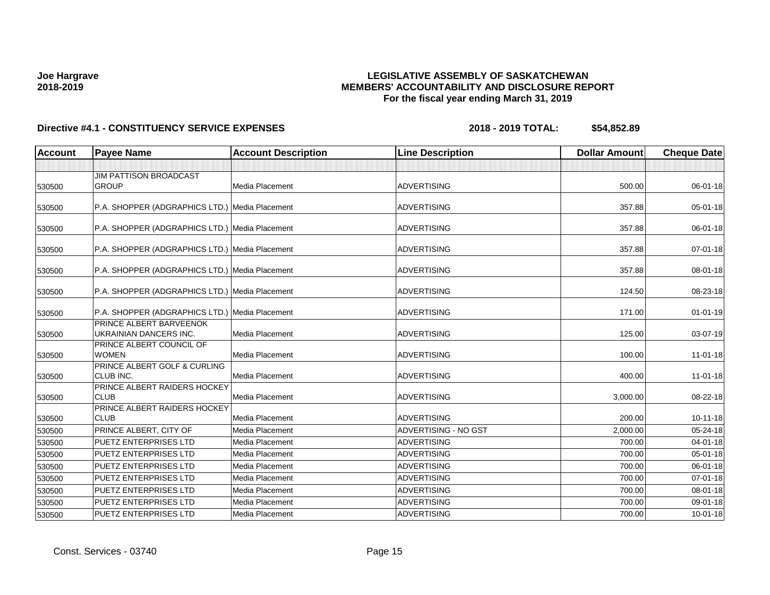### **LEGISLATIVE ASSEMBLY OF SASKATCHEWAN MEMBERS' ACCOUNTABILITY AND DISCLOSURE REPORT For the fiscal year ending March 31, 2019**

| <b>Account</b> | <b>Payee Name</b>                                 | <b>Account Description</b> | <b>Line Description</b>     | <b>Dollar Amount</b> | <b>Cheque Date</b> |
|----------------|---------------------------------------------------|----------------------------|-----------------------------|----------------------|--------------------|
|                |                                                   |                            |                             |                      |                    |
|                | <b>JIM PATTISON BROADCAST</b>                     |                            |                             |                      |                    |
| 530500         | <b>GROUP</b>                                      | Media Placement            | <b>ADVERTISING</b>          | 500.00               | 06-01-18           |
| 530500         | P.A. SHOPPER (ADGRAPHICS LTD.) Media Placement    |                            | <b>ADVERTISING</b>          | 357.88               | 05-01-18           |
| 530500         | P.A. SHOPPER (ADGRAPHICS LTD.) Media Placement    |                            | <b>ADVERTISING</b>          | 357.88               | 06-01-18           |
| 530500         | P.A. SHOPPER (ADGRAPHICS LTD.) Media Placement    |                            | <b>ADVERTISING</b>          | 357.88               | $07 - 01 - 18$     |
| 530500         | P.A. SHOPPER (ADGRAPHICS LTD.) Media Placement    |                            | <b>ADVERTISING</b>          | 357.88               | 08-01-18           |
| 530500         | P.A. SHOPPER (ADGRAPHICS LTD.) Media Placement    |                            | <b>ADVERTISING</b>          | 124.50               | 08-23-18           |
| 530500         | P.A. SHOPPER (ADGRAPHICS LTD.) Media Placement    |                            | <b>ADVERTISING</b>          | 171.00               | $01 - 01 - 19$     |
| 530500         | PRINCE ALBERT BARVEENOK<br>UKRAINIAN DANCERS INC. | Media Placement            | <b>ADVERTISING</b>          | 125.00               | 03-07-19           |
| 530500         | PRINCE ALBERT COUNCIL OF<br><b>WOMEN</b>          | Media Placement            | <b>ADVERTISING</b>          | 100.00               | $11-01-18$         |
| 530500         | PRINCE ALBERT GOLF & CURLING<br>CLUB INC.         | Media Placement            | <b>ADVERTISING</b>          | 400.00               | $11 - 01 - 18$     |
| 530500         | PRINCE ALBERT RAIDERS HOCKEY<br><b>CLUB</b>       | Media Placement            | <b>ADVERTISING</b>          | 3,000.00             | 08-22-18           |
| 530500         | PRINCE ALBERT RAIDERS HOCKEY<br><b>CLUB</b>       | Media Placement            | <b>ADVERTISING</b>          | 200.00               | $10 - 11 - 18$     |
| 530500         | PRINCE ALBERT, CITY OF                            | Media Placement            | <b>ADVERTISING - NO GST</b> | 2,000.00             | 05-24-18           |
| 530500         | <b>PUETZ ENTERPRISES LTD</b>                      | Media Placement            | <b>ADVERTISING</b>          | 700.00               | $04 - 01 - 18$     |
| 530500         | <b>PUETZ ENTERPRISES LTD</b>                      | Media Placement            | <b>ADVERTISING</b>          | 700.00               | $05 - 01 - 18$     |
| 530500         | <b>PUETZ ENTERPRISES LTD</b>                      | Media Placement            | <b>ADVERTISING</b>          | 700.00               | 06-01-18           |
| 530500         | <b>PUETZ ENTERPRISES LTD</b>                      | Media Placement            | <b>ADVERTISING</b>          | 700.00               | $07 - 01 - 18$     |
| 530500         | <b>PUETZ ENTERPRISES LTD</b>                      | Media Placement            | <b>ADVERTISING</b>          | 700.00               | 08-01-18           |
| 530500         | <b>PUETZ ENTERPRISES LTD</b>                      | Media Placement            | <b>ADVERTISING</b>          | 700.00               | 09-01-18           |
| 530500         | PUETZ ENTERPRISES LTD                             | Media Placement            | <b>ADVERTISING</b>          | 700.00               | $10 - 01 - 18$     |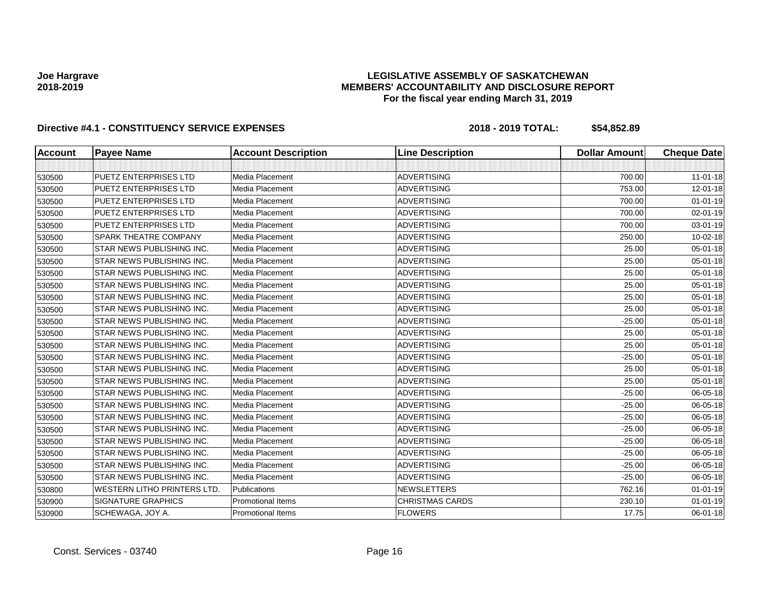### **LEGISLATIVE ASSEMBLY OF SASKATCHEWAN MEMBERS' ACCOUNTABILITY AND DISCLOSURE REPORT For the fiscal year ending March 31, 2019**

| <b>Account</b> | <b>Payee Name</b>                  | <b>Account Description</b> | <b>Line Description</b> | <b>Dollar Amount</b> | <b>Cheque Date</b> |
|----------------|------------------------------------|----------------------------|-------------------------|----------------------|--------------------|
|                |                                    |                            |                         |                      |                    |
| 530500         | <b>PUETZ ENTERPRISES LTD</b>       | Media Placement            | <b>ADVERTISING</b>      | 700.00               | $11 - 01 - 18$     |
| 530500         | <b>PUETZ ENTERPRISES LTD</b>       | Media Placement            | <b>ADVERTISING</b>      | 753.00               | 12-01-18           |
| 530500         | <b>PUETZ ENTERPRISES LTD</b>       | Media Placement            | <b>ADVERTISING</b>      | 700.00               | $01 - 01 - 19$     |
| 530500         | PUETZ ENTERPRISES LTD              | Media Placement            | <b>ADVERTISING</b>      | 700.00               | 02-01-19           |
| 530500         | <b>PUETZ ENTERPRISES LTD</b>       | Media Placement            | <b>ADVERTISING</b>      | 700.00               | 03-01-19           |
| 530500         | SPARK THEATRE COMPANY              | Media Placement            | <b>ADVERTISING</b>      | 250.00               | 10-02-18           |
| 530500         | STAR NEWS PUBLISHING INC.          | Media Placement            | <b>ADVERTISING</b>      | 25.00                | $05 - 01 - 18$     |
| 530500         | STAR NEWS PUBLISHING INC.          | Media Placement            | <b>ADVERTISING</b>      | 25.00                | 05-01-18           |
| 530500         | STAR NEWS PUBLISHING INC.          | Media Placement            | <b>ADVERTISING</b>      | 25.00                | $05 - 01 - 18$     |
| 530500         | STAR NEWS PUBLISHING INC.          | Media Placement            | <b>ADVERTISING</b>      | 25.00                | 05-01-18           |
| 530500         | STAR NEWS PUBLISHING INC.          | Media Placement            | <b>ADVERTISING</b>      | 25.00                | $05 - 01 - 18$     |
| 530500         | STAR NEWS PUBLISHING INC.          | Media Placement            | <b>ADVERTISING</b>      | 25.00                | $05 - 01 - 18$     |
| 530500         | STAR NEWS PUBLISHING INC.          | Media Placement            | <b>ADVERTISING</b>      | $-25.00$             | 05-01-18           |
| 530500         | STAR NEWS PUBLISHING INC.          | Media Placement            | <b>ADVERTISING</b>      | 25.00                | 05-01-18           |
| 530500         | STAR NEWS PUBLISHING INC.          | Media Placement            | <b>ADVERTISING</b>      | 25.00                | $05 - 01 - 18$     |
| 530500         | STAR NEWS PUBLISHING INC.          | Media Placement            | <b>ADVERTISING</b>      | $-25.00$             | $05 - 01 - 18$     |
| 530500         | STAR NEWS PUBLISHING INC.          | Media Placement            | <b>ADVERTISING</b>      | 25.00                | 05-01-18           |
| 530500         | STAR NEWS PUBLISHING INC.          | Media Placement            | <b>ADVERTISING</b>      | 25.00                | 05-01-18           |
| 530500         | STAR NEWS PUBLISHING INC.          | Media Placement            | <b>ADVERTISING</b>      | $-25.00$             | 06-05-18           |
| 530500         | STAR NEWS PUBLISHING INC.          | Media Placement            | <b>ADVERTISING</b>      | $-25.00$             | 06-05-18           |
| 530500         | STAR NEWS PUBLISHING INC.          | Media Placement            | <b>ADVERTISING</b>      | $-25.00$             | 06-05-18           |
| 530500         | STAR NEWS PUBLISHING INC.          | Media Placement            | <b>ADVERTISING</b>      | $-25.00$             | 06-05-18           |
| 530500         | STAR NEWS PUBLISHING INC.          | Media Placement            | <b>ADVERTISING</b>      | $-25.00$             | 06-05-18           |
| 530500         | STAR NEWS PUBLISHING INC.          | Media Placement            | <b>ADVERTISING</b>      | $-25.00$             | 06-05-18           |
| 530500         | STAR NEWS PUBLISHING INC.          | Media Placement            | <b>ADVERTISING</b>      | $-25.00$             | 06-05-18           |
| 530500         | STAR NEWS PUBLISHING INC.          | Media Placement            | <b>ADVERTISING</b>      | $-25.00$             | 06-05-18           |
| 530800         | <b>WESTERN LITHO PRINTERS LTD.</b> | Publications               | <b>NEWSLETTERS</b>      | 762.16               | $01 - 01 - 19$     |
| 530900         | <b>SIGNATURE GRAPHICS</b>          | <b>Promotional Items</b>   | <b>CHRISTMAS CARDS</b>  | 230.10               | $01 - 01 - 19$     |
| 530900         | SCHEWAGA, JOY A.                   | <b>Promotional Items</b>   | <b>FLOWERS</b>          | 17.75                | 06-01-18           |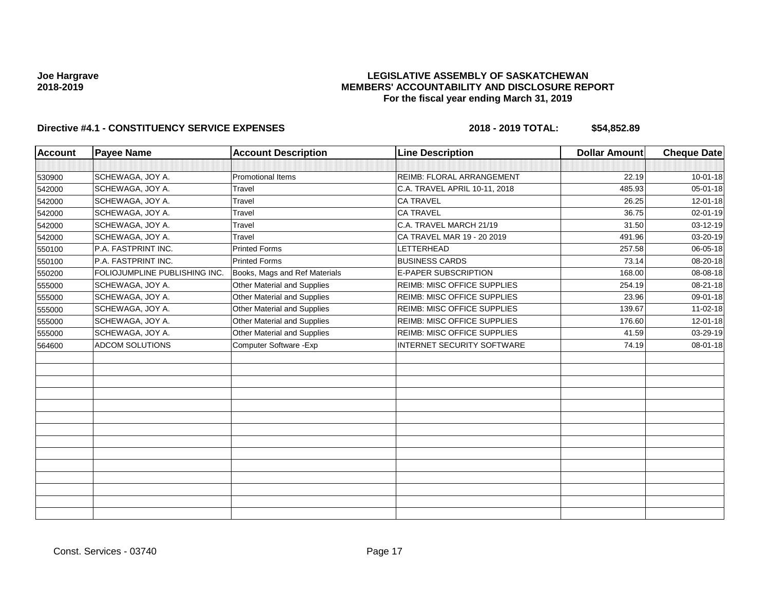### **LEGISLATIVE ASSEMBLY OF SASKATCHEWAN MEMBERS' ACCOUNTABILITY AND DISCLOSURE REPORT For the fiscal year ending March 31, 2019**

| <b>Account</b> | <b>Payee Name</b>             | <b>Account Description</b>    | <b>Line Description</b>            | <b>Dollar Amount</b> | <b>Cheque Date</b> |
|----------------|-------------------------------|-------------------------------|------------------------------------|----------------------|--------------------|
|                |                               |                               |                                    |                      |                    |
| 530900         | SCHEWAGA, JOY A.              | <b>Promotional Items</b>      | REIMB: FLORAL ARRANGEMENT          | 22.19                | $10 - 01 - 18$     |
| 542000         | SCHEWAGA, JOY A.              | Travel                        | C.A. TRAVEL APRIL 10-11, 2018      | 485.93               | $05 - 01 - 18$     |
| 542000         | SCHEWAGA, JOY A.              | Travel                        | <b>CA TRAVEL</b>                   | 26.25                | 12-01-18           |
| 542000         | SCHEWAGA, JOY A.              | Travel                        | <b>CA TRAVEL</b>                   | 36.75                | 02-01-19           |
| 542000         | SCHEWAGA, JOY A.              | Travel                        | C.A. TRAVEL MARCH 21/19            | 31.50                | 03-12-19           |
| 542000         | SCHEWAGA, JOY A.              | Travel                        | CA TRAVEL MAR 19 - 20 2019         | 491.96               | 03-20-19           |
| 550100         | P.A. FASTPRINT INC.           | <b>Printed Forms</b>          | LETTERHEAD                         | 257.58               | 06-05-18           |
| 550100         | P.A. FASTPRINT INC.           | <b>Printed Forms</b>          | <b>BUSINESS CARDS</b>              | 73.14                | 08-20-18           |
| 550200         | FOLIOJUMPLINE PUBLISHING INC. | Books, Mags and Ref Materials | <b>E-PAPER SUBSCRIPTION</b>        | 168.00               | 08-08-18           |
| 555000         | SCHEWAGA, JOY A.              | Other Material and Supplies   | <b>REIMB: MISC OFFICE SUPPLIES</b> | 254.19               | 08-21-18           |
| 555000         | SCHEWAGA, JOY A.              | Other Material and Supplies   | REIMB: MISC OFFICE SUPPLIES        | 23.96                | 09-01-18           |
| 555000         | SCHEWAGA, JOY A.              | Other Material and Supplies   | <b>REIMB: MISC OFFICE SUPPLIES</b> | 139.67               | $11-02-18$         |
| 555000         | SCHEWAGA, JOY A.              | Other Material and Supplies   | <b>REIMB: MISC OFFICE SUPPLIES</b> | 176.60               | 12-01-18           |
| 555000         | SCHEWAGA, JOY A.              | Other Material and Supplies   | REIMB: MISC OFFICE SUPPLIES        | 41.59                | 03-29-19           |
| 564600         | ADCOM SOLUTIONS               | Computer Software - Exp       | INTERNET SECURITY SOFTWARE         | 74.19                | 08-01-18           |
|                |                               |                               |                                    |                      |                    |
|                |                               |                               |                                    |                      |                    |
|                |                               |                               |                                    |                      |                    |
|                |                               |                               |                                    |                      |                    |
|                |                               |                               |                                    |                      |                    |
|                |                               |                               |                                    |                      |                    |
|                |                               |                               |                                    |                      |                    |
|                |                               |                               |                                    |                      |                    |
|                |                               |                               |                                    |                      |                    |
|                |                               |                               |                                    |                      |                    |
|                |                               |                               |                                    |                      |                    |
|                |                               |                               |                                    |                      |                    |
|                |                               |                               |                                    |                      |                    |
|                |                               |                               |                                    |                      |                    |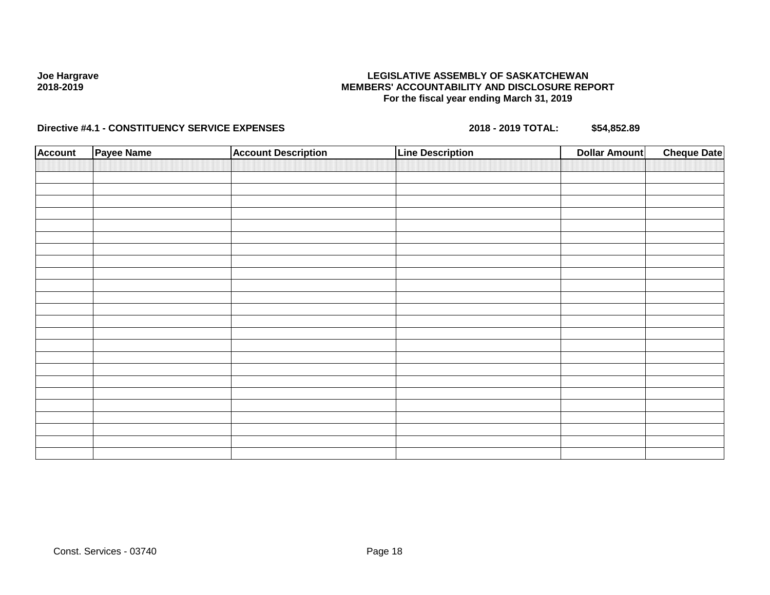### **LEGISLATIVE ASSEMBLY OF SASKATCHEWAN MEMBERS' ACCOUNTABILITY AND DISCLOSURE REPORT For the fiscal year ending March 31, 2019**

| <b>Account</b> | <b>Payee Name</b> | <b>Account Description</b> | <b>Line Description</b> | <b>Dollar Amount</b> | <b>Cheque Date</b> |
|----------------|-------------------|----------------------------|-------------------------|----------------------|--------------------|
|                |                   |                            |                         |                      |                    |
|                |                   |                            |                         |                      |                    |
|                |                   |                            |                         |                      |                    |
|                |                   |                            |                         |                      |                    |
|                |                   |                            |                         |                      |                    |
|                |                   |                            |                         |                      |                    |
|                |                   |                            |                         |                      |                    |
|                |                   |                            |                         |                      |                    |
|                |                   |                            |                         |                      |                    |
|                |                   |                            |                         |                      |                    |
|                |                   |                            |                         |                      |                    |
|                |                   |                            |                         |                      |                    |
|                |                   |                            |                         |                      |                    |
|                |                   |                            |                         |                      |                    |
|                |                   |                            |                         |                      |                    |
|                |                   |                            |                         |                      |                    |
|                |                   |                            |                         |                      |                    |
|                |                   |                            |                         |                      |                    |
|                |                   |                            |                         |                      |                    |
|                |                   |                            |                         |                      |                    |
|                |                   |                            |                         |                      |                    |
|                |                   |                            |                         |                      |                    |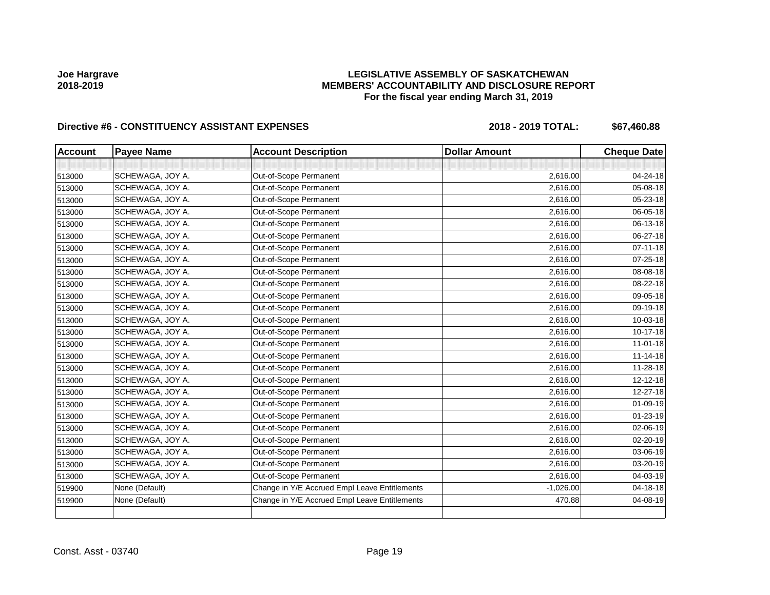### **LEGISLATIVE ASSEMBLY OF SASKATCHEWAN MEMBERS' ACCOUNTABILITY AND DISCLOSURE REPORT For the fiscal year ending March 31, 2019**

| <b>Account</b> | <b>Payee Name</b> | <b>Account Description</b>                    | <b>Dollar Amount</b> | <b>Cheque Date</b> |
|----------------|-------------------|-----------------------------------------------|----------------------|--------------------|
|                |                   |                                               |                      |                    |
| 513000         | SCHEWAGA, JOY A.  | Out-of-Scope Permanent                        | 2,616.00             | 04-24-18           |
| 513000         | SCHEWAGA, JOY A.  | Out-of-Scope Permanent                        | 2,616.00             | 05-08-18           |
| 513000         | SCHEWAGA, JOY A.  | Out-of-Scope Permanent                        | 2,616.00             | 05-23-18           |
| 513000         | SCHEWAGA, JOY A.  | Out-of-Scope Permanent                        | 2,616.00             | 06-05-18           |
| 513000         | SCHEWAGA, JOY A.  | Out-of-Scope Permanent                        | 2,616.00             | 06-13-18           |
| 513000         | SCHEWAGA, JOY A.  | Out-of-Scope Permanent                        | 2,616.00             | 06-27-18           |
| 513000         | SCHEWAGA, JOY A.  | Out-of-Scope Permanent                        | 2,616.00             | $07 - 11 - 18$     |
| 513000         | SCHEWAGA, JOY A.  | Out-of-Scope Permanent                        | 2,616.00             | $07 - 25 - 18$     |
| 513000         | SCHEWAGA, JOY A.  | Out-of-Scope Permanent                        | 2,616.00             | 08-08-18           |
| 513000         | SCHEWAGA, JOY A.  | Out-of-Scope Permanent                        | 2,616.00             | 08-22-18           |
| 513000         | SCHEWAGA, JOY A.  | Out-of-Scope Permanent                        | 2,616.00             | 09-05-18           |
| 513000         | SCHEWAGA, JOY A.  | Out-of-Scope Permanent                        | 2,616.00             | 09-19-18           |
| 513000         | SCHEWAGA, JOY A.  | Out-of-Scope Permanent                        | 2,616.00             | 10-03-18           |
| 513000         | SCHEWAGA, JOY A.  | Out-of-Scope Permanent                        | 2,616.00             | $10-17-18$         |
| 513000         | SCHEWAGA, JOY A.  | Out-of-Scope Permanent                        | 2,616.00             | $11 - 01 - 18$     |
| 513000         | SCHEWAGA, JOY A.  | Out-of-Scope Permanent                        | 2,616.00             | $11 - 14 - 18$     |
| 513000         | SCHEWAGA, JOY A.  | Out-of-Scope Permanent                        | 2,616.00             | 11-28-18           |
| 513000         | SCHEWAGA, JOY A.  | Out-of-Scope Permanent                        | 2,616.00             | 12-12-18           |
| 513000         | SCHEWAGA, JOY A.  | Out-of-Scope Permanent                        | 2,616.00             | 12-27-18           |
| 513000         | SCHEWAGA, JOY A.  | Out-of-Scope Permanent                        | 2,616.00             | $01 - 09 - 19$     |
| 513000         | SCHEWAGA, JOY A.  | Out-of-Scope Permanent                        | 2,616.00             | $01 - 23 - 19$     |
| 513000         | SCHEWAGA, JOY A.  | Out-of-Scope Permanent                        | 2,616.00             | 02-06-19           |
| 513000         | SCHEWAGA, JOY A.  | Out-of-Scope Permanent                        | 2,616.00             | 02-20-19           |
| 513000         | SCHEWAGA, JOY A.  | Out-of-Scope Permanent                        | 2,616.00             | 03-06-19           |
| 513000         | SCHEWAGA, JOY A.  | Out-of-Scope Permanent                        | 2,616.00             | 03-20-19           |
| 513000         | SCHEWAGA, JOY A.  | Out-of-Scope Permanent                        | 2,616.00             | 04-03-19           |
| 519900         | None (Default)    | Change in Y/E Accrued Empl Leave Entitlements | $-1,026.00$          | 04-18-18           |
| 519900         | None (Default)    | Change in Y/E Accrued Empl Leave Entitlements | 470.88               | 04-08-19           |
|                |                   |                                               |                      |                    |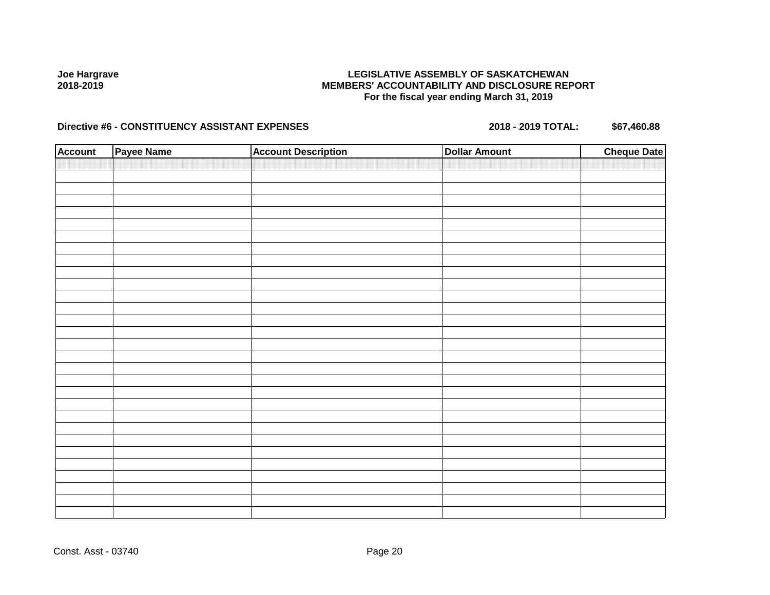### **LEGISLATIVE ASSEMBLY OF SASKATCHEWAN MEMBERS' ACCOUNTABILITY AND DISCLOSURE REPORT For the fiscal year ending March 31, 2019**

| <b>Account</b> | Payee Name | <b>Account Description</b> | <b>Dollar Amount</b> | <b>Cheque Date</b> |
|----------------|------------|----------------------------|----------------------|--------------------|
|                |            |                            |                      |                    |
|                |            |                            |                      |                    |
|                |            |                            |                      |                    |
|                |            |                            |                      |                    |
|                |            |                            |                      |                    |
|                |            |                            |                      |                    |
|                |            |                            |                      |                    |
|                |            |                            |                      |                    |
|                |            |                            |                      |                    |
|                |            |                            |                      |                    |
|                |            |                            |                      |                    |
|                |            |                            |                      |                    |
|                |            |                            |                      |                    |
|                |            |                            |                      |                    |
|                |            |                            |                      |                    |
|                |            |                            |                      |                    |
|                |            |                            |                      |                    |
|                |            |                            |                      |                    |
|                |            |                            |                      |                    |
|                |            |                            |                      |                    |
|                |            |                            |                      |                    |
|                |            |                            |                      |                    |
|                |            |                            |                      |                    |
|                |            |                            |                      |                    |
|                |            |                            |                      |                    |
|                |            |                            |                      |                    |
|                |            |                            |                      |                    |
|                |            |                            |                      |                    |
|                |            |                            |                      |                    |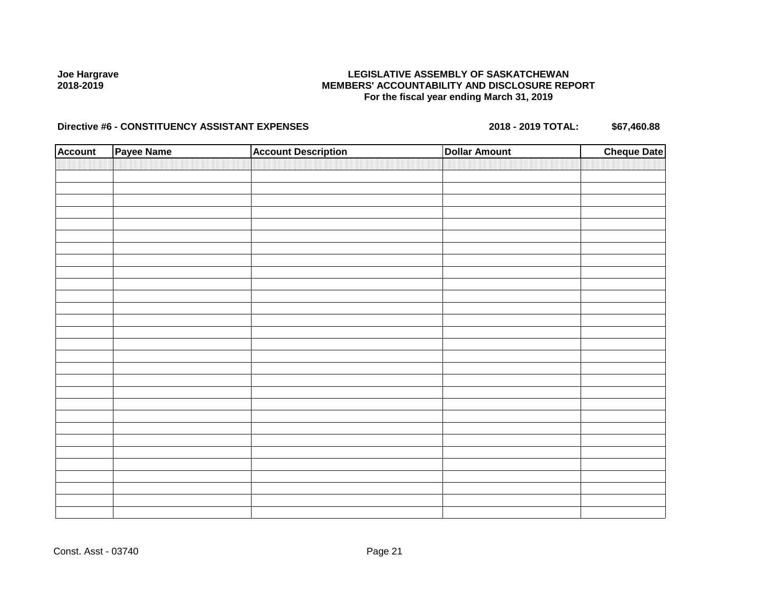### **LEGISLATIVE ASSEMBLY OF SASKATCHEWAN MEMBERS' ACCOUNTABILITY AND DISCLOSURE REPORT For the fiscal year ending March 31, 2019**

| <b>Account</b> | Payee Name | <b>Account Description</b> | <b>Dollar Amount</b> | <b>Cheque Date</b> |
|----------------|------------|----------------------------|----------------------|--------------------|
|                |            |                            |                      |                    |
|                |            |                            |                      |                    |
|                |            |                            |                      |                    |
|                |            |                            |                      |                    |
|                |            |                            |                      |                    |
|                |            |                            |                      |                    |
|                |            |                            |                      |                    |
|                |            |                            |                      |                    |
|                |            |                            |                      |                    |
|                |            |                            |                      |                    |
|                |            |                            |                      |                    |
|                |            |                            |                      |                    |
|                |            |                            |                      |                    |
|                |            |                            |                      |                    |
|                |            |                            |                      |                    |
|                |            |                            |                      |                    |
|                |            |                            |                      |                    |
|                |            |                            |                      |                    |
|                |            |                            |                      |                    |
|                |            |                            |                      |                    |
|                |            |                            |                      |                    |
|                |            |                            |                      |                    |
|                |            |                            |                      |                    |
|                |            |                            |                      |                    |
|                |            |                            |                      |                    |
|                |            |                            |                      |                    |
|                |            |                            |                      |                    |
|                |            |                            |                      |                    |
|                |            |                            |                      |                    |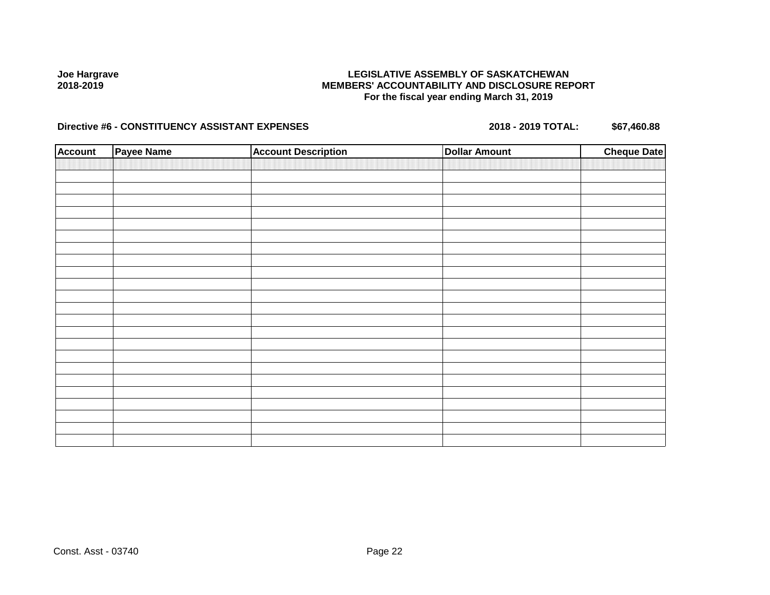### **LEGISLATIVE ASSEMBLY OF SASKATCHEWAN MEMBERS' ACCOUNTABILITY AND DISCLOSURE REPORT For the fiscal year ending March 31, 2019**

| <b>Account</b> | <b>Payee Name</b> | <b>Account Description</b> | <b>Dollar Amount</b> | <b>Cheque Date</b> |
|----------------|-------------------|----------------------------|----------------------|--------------------|
|                |                   |                            |                      |                    |
|                |                   |                            |                      |                    |
|                |                   |                            |                      |                    |
|                |                   |                            |                      |                    |
|                |                   |                            |                      |                    |
|                |                   |                            |                      |                    |
|                |                   |                            |                      |                    |
|                |                   |                            |                      |                    |
|                |                   |                            |                      |                    |
|                |                   |                            |                      |                    |
|                |                   |                            |                      |                    |
|                |                   |                            |                      |                    |
|                |                   |                            |                      |                    |
|                |                   |                            |                      |                    |
|                |                   |                            |                      |                    |
|                |                   |                            |                      |                    |
|                |                   |                            |                      |                    |
|                |                   |                            |                      |                    |
|                |                   |                            |                      |                    |
|                |                   |                            |                      |                    |
|                |                   |                            |                      |                    |
|                |                   |                            |                      |                    |
|                |                   |                            |                      |                    |
|                |                   |                            |                      |                    |